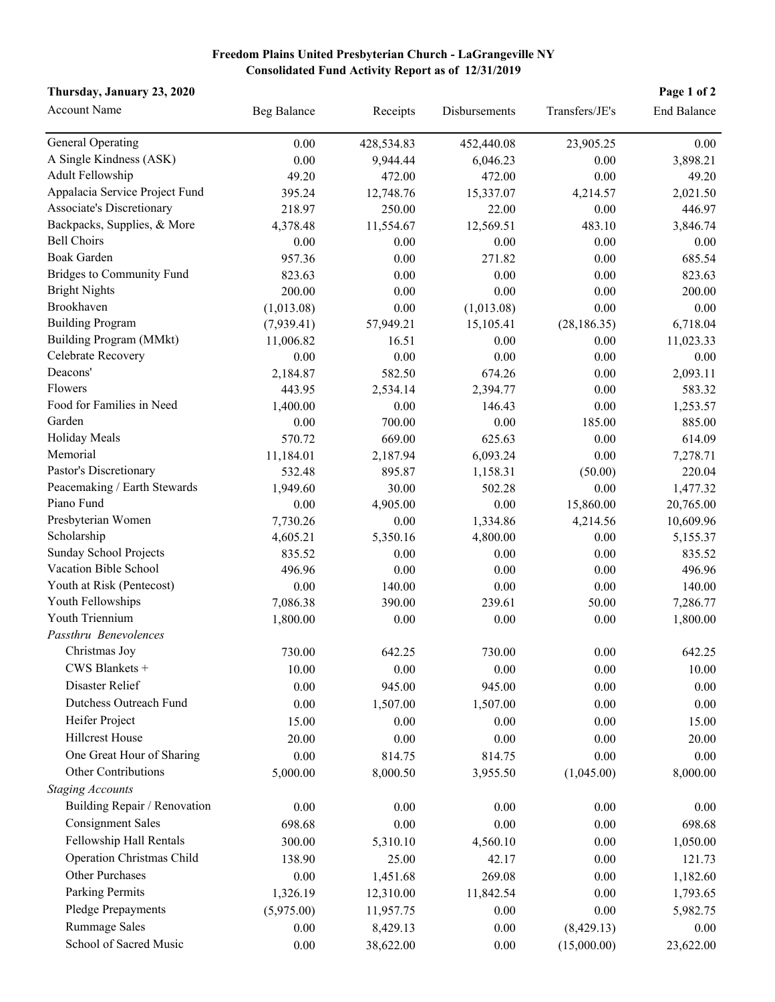## **Freedom Plains United Presbyterian Church - LaGrangeville NY Consolidated Fund Activity Report as of 12/31/2019**

## **Thursday, January 23, 2020 Page 1 of 2**

| <b>Account Name</b>              | Beg Balance | Receipts   | Disbursements | Transfers/JE's | End Balance |
|----------------------------------|-------------|------------|---------------|----------------|-------------|
| <b>General Operating</b>         | 0.00        | 428,534.83 | 452,440.08    | 23,905.25      | 0.00        |
| A Single Kindness (ASK)          | 0.00        | 9,944.44   | 6,046.23      | 0.00           | 3,898.21    |
| Adult Fellowship                 | 49.20       | 472.00     | 472.00        | 0.00           | 49.20       |
| Appalacia Service Project Fund   | 395.24      | 12,748.76  | 15,337.07     | 4,214.57       | 2,021.50    |
| Associate's Discretionary        | 218.97      | 250.00     | 22.00         | 0.00           | 446.97      |
| Backpacks, Supplies, & More      | 4,378.48    | 11,554.67  | 12,569.51     | 483.10         | 3,846.74    |
| <b>Bell Choirs</b>               | 0.00        | 0.00       | 0.00          | 0.00           | 0.00        |
| <b>Boak Garden</b>               | 957.36      | 0.00       | 271.82        | 0.00           | 685.54      |
| <b>Bridges to Community Fund</b> | 823.63      | 0.00       | 0.00          | 0.00           | 823.63      |
| <b>Bright Nights</b>             | 200.00      | 0.00       | 0.00          | 0.00           | 200.00      |
| Brookhaven                       | (1,013.08)  | 0.00       | (1,013.08)    | 0.00           | 0.00        |
| <b>Building Program</b>          | (7,939.41)  | 57,949.21  | 15,105.41     | (28, 186.35)   | 6,718.04    |
| Building Program (MMkt)          | 11,006.82   | 16.51      | 0.00          | 0.00           | 11,023.33   |
| Celebrate Recovery               | 0.00        | 0.00       | 0.00          | 0.00           | 0.00        |
| Deacons'                         | 2,184.87    | 582.50     | 674.26        | 0.00           | 2,093.11    |
| Flowers                          | 443.95      | 2,534.14   | 2,394.77      | 0.00           | 583.32      |
| Food for Families in Need        | 1,400.00    | 0.00       | 146.43        | 0.00           | 1,253.57    |
| Garden                           | 0.00        | 700.00     | 0.00          | 185.00         | 885.00      |
| Holiday Meals                    | 570.72      | 669.00     | 625.63        | 0.00           | 614.09      |
| Memorial                         | 11,184.01   | 2,187.94   | 6,093.24      | 0.00           | 7,278.71    |
| Pastor's Discretionary           | 532.48      | 895.87     | 1,158.31      | (50.00)        | 220.04      |
| Peacemaking / Earth Stewards     | 1,949.60    | 30.00      | 502.28        | 0.00           | 1,477.32    |
| Piano Fund                       | $0.00\,$    | 4,905.00   | 0.00          | 15,860.00      | 20,765.00   |
| Presbyterian Women               | 7,730.26    | 0.00       | 1,334.86      | 4,214.56       | 10,609.96   |
| Scholarship                      | 4,605.21    | 5,350.16   | 4,800.00      | 0.00           | 5,155.37    |
| Sunday School Projects           | 835.52      | 0.00       | 0.00          | 0.00           | 835.52      |
| Vacation Bible School            | 496.96      | 0.00       | 0.00          | 0.00           | 496.96      |
| Youth at Risk (Pentecost)        | 0.00        | 140.00     | 0.00          | 0.00           | 140.00      |
| Youth Fellowships                | 7,086.38    | 390.00     | 239.61        | 50.00          | 7,286.77    |
| Youth Triennium                  | 1,800.00    | 0.00       | 0.00          | 0.00           | 1,800.00    |
| Passthru Benevolences            |             |            |               |                |             |
| Christmas Joy                    | 730.00      | 642.25     | 730.00        | 0.00           | 642.25      |
| CWS Blankets +                   | 10.00       | $0.00\,$   | $0.00\,$      | $0.00\,$       | 10.00       |
| Disaster Relief                  | $0.00\,$    | 945.00     | 945.00        | 0.00           | 0.00        |
| Dutchess Outreach Fund           | $0.00\,$    | 1,507.00   | 1,507.00      | 0.00           | 0.00        |
| Heifer Project                   | 15.00       | 0.00       | 0.00          | 0.00           | 15.00       |
| <b>Hillcrest House</b>           | 20.00       |            |               |                |             |
|                                  |             | 0.00       | 0.00          | 0.00           | 20.00       |
| One Great Hour of Sharing        | 0.00        | 814.75     | 814.75        | 0.00           | 0.00        |
| Other Contributions              | 5,000.00    | 8,000.50   | 3,955.50      | (1,045.00)     | 8,000.00    |
| <b>Staging Accounts</b>          |             |            |               |                |             |
| Building Repair / Renovation     | 0.00        | 0.00       | 0.00          | 0.00           | 0.00        |
| <b>Consignment Sales</b>         | 698.68      | 0.00       | 0.00          | 0.00           | 698.68      |
| Fellowship Hall Rentals          | 300.00      | 5,310.10   | 4,560.10      | 0.00           | 1,050.00    |
| Operation Christmas Child        | 138.90      | 25.00      | 42.17         | 0.00           | 121.73      |
| Other Purchases                  | 0.00        | 1,451.68   | 269.08        | 0.00           | 1,182.60    |
| Parking Permits                  | 1,326.19    | 12,310.00  | 11,842.54     | 0.00           | 1,793.65    |
| Pledge Prepayments               | (5,975.00)  | 11,957.75  | 0.00          | 0.00           | 5,982.75    |
| Rummage Sales                    | 0.00        | 8,429.13   | 0.00          | (8,429.13)     | 0.00        |
| School of Sacred Music           | 0.00        | 38,622.00  | 0.00          | (15,000.00)    | 23,622.00   |